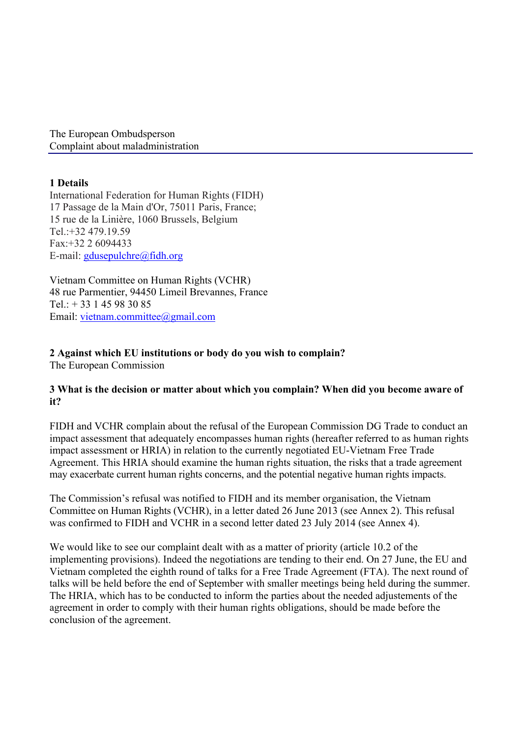The European Ombudsperson Complaint about maladministration

# **1 Details**

International Federation for Human Rights (FIDH) 17 Passage de la Main d'Or, 75011 Paris, France; 15 rue de la Linière, 1060 Brussels, Belgium Tel.: $+32,479,19.59$ Fax:+32 2 6094433 E-mail: gdusepulchre@fidh.org

Vietnam Committee on Human Rights (VCHR) 48 rue Parmentier, 94450 Limeil Brevannes, France Tel.: + 33 1 45 98 30 85 Email: vietnam.committee@gmail.com

# **2 Against which EU institutions or body do you wish to complain?**

The European Commission

# **3 What is the decision or matter about which you complain? When did you become aware of it?**

FIDH and VCHR complain about the refusal of the European Commission DG Trade to conduct an impact assessment that adequately encompasses human rights (hereafter referred to as human rights impact assessment or HRIA) in relation to the currently negotiated EU-Vietnam Free Trade Agreement. This HRIA should examine the human rights situation, the risks that a trade agreement may exacerbate current human rights concerns, and the potential negative human rights impacts.

The Commission's refusal was notified to FIDH and its member organisation, the Vietnam Committee on Human Rights (VCHR), in a letter dated 26 June 2013 (see Annex 2). This refusal was confirmed to FIDH and VCHR in a second letter dated 23 July 2014 (see Annex 4).

We would like to see our complaint dealt with as a matter of priority (article 10.2 of the implementing provisions). Indeed the negotiations are tending to their end. On 27 June, the EU and Vietnam completed the eighth round of talks for a Free Trade Agreement (FTA). The next round of talks will be held before the end of September with smaller meetings being held during the summer. The HRIA, which has to be conducted to inform the parties about the needed adjustements of the agreement in order to comply with their human rights obligations, should be made before the conclusion of the agreement.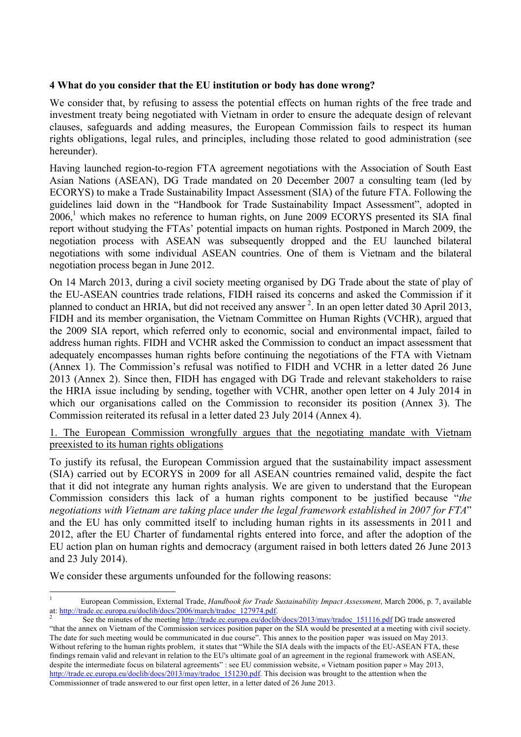## **4 What do you consider that the EU institution or body has done wrong?**

We consider that, by refusing to assess the potential effects on human rights of the free trade and investment treaty being negotiated with Vietnam in order to ensure the adequate design of relevant clauses, safeguards and adding measures, the European Commission fails to respect its human rights obligations, legal rules, and principles, including those related to good administration (see hereunder).

Having launched region-to-region FTA agreement negotiations with the Association of South East Asian Nations (ASEAN), DG Trade mandated on 20 December 2007 a consulting team (led by ECORYS) to make a Trade Sustainability Impact Assessment (SIA) of the future FTA. Following the guidelines laid down in the "Handbook for Trade Sustainability Impact Assessment", adopted in  $2006$ ,<sup>1</sup> which makes no reference to human rights, on June 2009 ECORYS presented its SIA final report without studying the FTAs' potential impacts on human rights. Postponed in March 2009, the negotiation process with ASEAN was subsequently dropped and the EU launched bilateral negotiations with some individual ASEAN countries. One of them is Vietnam and the bilateral negotiation process began in June 2012.

On 14 March 2013, during a civil society meeting organised by DG Trade about the state of play of the EU-ASEAN countries trade relations, FIDH raised its concerns and asked the Commission if it planned to conduct an HRIA, but did not received any answer<sup>2</sup>. In an open letter dated 30 April 2013, FIDH and its member organisation, the Vietnam Committee on Human Rights (VCHR), argued that the 2009 SIA report, which referred only to economic, social and environmental impact, failed to address human rights. FIDH and VCHR asked the Commission to conduct an impact assessment that adequately encompasses human rights before continuing the negotiations of the FTA with Vietnam (Annex 1). The Commission's refusal was notified to FIDH and VCHR in a letter dated 26 June 2013 (Annex 2). Since then, FIDH has engaged with DG Trade and relevant stakeholders to raise the HRIA issue including by sending, together with VCHR, another open letter on 4 July 2014 in which our organisations called on the Commission to reconsider its position (Annex 3). The Commission reiterated its refusal in a letter dated 23 July 2014 (Annex 4).

1. The European Commission wrongfully argues that the negotiating mandate with Vietnam preexisted to its human rights obligations

To justify its refusal, the European Commission argued that the sustainability impact assessment (SIA) carried out by ECORYS in 2009 for all ASEAN countries remained valid, despite the fact that it did not integrate any human rights analysis. We are given to understand that the European Commission considers this lack of a human rights component to be justified because "*the negotiations with Vietnam are taking place under the legal framework established in 2007 for FTA*" and the EU has only committed itself to including human rights in its assessments in 2011 and 2012, after the EU Charter of fundamental rights entered into force, and after the adoption of the EU action plan on human rights and democracy (argument raised in both letters dated 26 June 2013 and 23 July 2014).

We consider these arguments unfounded for the following reasons:

<sup>&</sup>lt;sup>1</sup> European Commission, External Trade, *Handbook for Trade Sustainability Impact Assessment*, March 2006, p. 7, available at: http://trade.ec.europa.eu/doclib/docs/2006/march/tradoc 127974.pdf.

See the minutes of the meeting http://trade.ec.europa.eu/doclib/docs/2013/may/tradoc\_151116.pdf DG trade answered "that the annex on Vietnam of the Commission services position paper on the SIA would be presented at a meeting with civil society. The date for such meeting would be communicated in due course". This annex to the position paper was issued on May 2013. Without refering to the human rights problem, it states that "While the SIA deals with the impacts of the EU-ASEAN FTA, these findings remain valid and relevant in relation to the EU's ultimate goal of an agreement in the regional framework with ASEAN, despite the intermediate focus on bilateral agreements" : see EU commission website, « Vietnam position paper » May 2013, http://trade.ec.europa.eu/doclib/docs/2013/may/tradoc\_151230.pdf. This decision was brought to the attention when the Commissionner of trade answered to our first open letter, in a letter dated of 26 June 2013.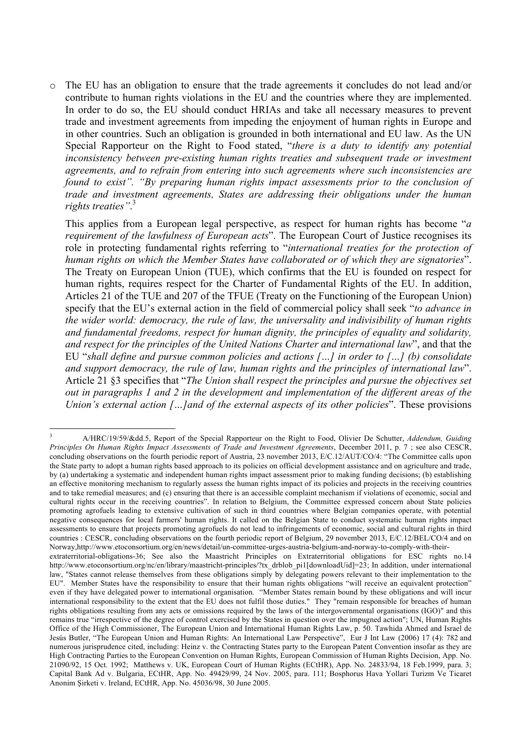The EU has an obligation to ensure that the trade agreements it concludes do not lead and/or contribute to human rights violations in the EU and the countries where they are implemented. In order to do so, the EU should conduct HRIAs and take all necessary measures to prevent trade and investment agreements from impeding the enjoyment of human rights in Europe and in other countries. Such an obligation is grounded in both international and EU law. As the UN Special Rapporteur on the Right to Food stated, "*there is a duty to identify any potential inconsistency between pre-existing human rights treaties and subsequent trade or investment agreements, and to refrain from entering into such agreements where such inconsistencies are found to exist". "By preparing human rights impact assessments prior to the conclusion of trade and investment agreements, States are addressing their obligations under the human rights treaties"*. 3

This applies from a European legal perspective, as respect for human rights has become "*a requirement of the lawfulness of European acts*". The European Court of Justice recognises its role in protecting fundamental rights referring to "*international treaties for the protection of human rights on which the Member States have collaborated or of which they are signatories*". The Treaty on European Union (TUE), which confirms that the EU is founded on respect for human rights, requires respect for the Charter of Fundamental Rights of the EU. In addition, Articles 21 of the TUE and 207 of the TFUE (Treaty on the Functioning of the European Union) specify that the EU's external action in the field of commercial policy shall seek "*to advance in the wider world: democracy, the rule of law, the universality and indivisibility of human rights and fundamental freedoms, respect for human dignity, the principles of equality and solidarity, and respect for the principles of the United Nations Charter and international law*", and that the EU "*shall define and pursue common policies and actions […] in order to […] (b) consolidate and support democracy, the rule of law, human rights and the principles of international law*". Article 21 §3 specifies that "*The Union shall respect the principles and pursue the objectives set out in paragraphs 1 and 2 in the development and implementation of the different areas of the Union's external action […]and of the external aspects of its other policies*". These provisions

 <sup>3</sup> A/HRC/19/59/&dd.5, Report of the Special Rapporteur on the Right to Food, Olivier De Schutter, *Addendum, Guiding Principles On Human Rights Impact Assessments of Trade and Investment Agreements*, December 2011, p. 7 ; see also CESCR, concluding observations on the fourth periodic report of Austria, 23 november 2013, E/C.12/AUT/CO/4: "The Committee calls upon the State party to adopt a human rights based approach to its policies on official development assistance and on agriculture and trade, by (a) undertaking a systematic and independent human rights impact assessment prior to making funding decisions; (b) establishing an effective monitoring mechanism to regularly assess the human rights impact of its policies and projects in the receiving countries and to take remedial measures; and (c) ensuring that there is an accessible complaint mechanism if violations of economic, social and cultural rights occur in the receiving countries". In relation to Belgium, the Committee expressed concern about State policies promoting agrofuels leading to extensive cultivation of such in third countries where Belgian companies operate, with potential negative consequences for local farmers' human rights. It called on the Belgian State to conduct systematic human rights impact assessments to ensure that projects promoting agrofuels do not lead to infringements of economic, social and cultural rights in third countries : CESCR, concluding observations on the fourth periodic report of Belgium, 29 november 2013, E/C.12/BEL/CO/4 and on Norway,http://www.etoconsortium.org/en/news/detail/un-committee-urges-austria-belgium-and-norway-to-comply-with-theirextraterritorial-obligations-36; See also the Maastricht Principles on Extraterritorial obligations for ESC rights no.14 http://www.etoconsortium.org/nc/en/library/maastricht-principles/?tx\_drblob\_pi1[downloadUid]=23; In addition, under international law, "States cannot release themselves from these obligations simply by delegating powers relevant to their implementation to the EU". Member States have the responsibility to ensure that their human rights obligations "will receive an equivalent protection" even if they have delegated power to international organisation. "Member States remain bound by these obligations and will incur international responsibility to the extent that the EU does not fulfil those duties." They "remain responsible for breaches of human rights obligations resulting from any acts or omissions required by the laws of the intergovernmental organisations (IGO)" and this remains true "irrespective of the degree of control exercised by the States in question over the impugned action"; UN, Human Rights Office of the High Commissioner, The European Union and International Human Rights Law, p. 50. Tawhida Ahmed and Israel de Jesús Butler, "The European Union and Human Rights: An International Law Perspective", Eur J Int Law (2006) 17 (4): 782 and numerous jurisprudence cited, including: Heinz v. the Contracting States party to the European Patent Convention insofar as they are High Contracting Parties to the European Convention on Human Rights, European Commission of Human Rights Decision, App. No. 21090/92, 15 Oct. 1992; Matthews v. UK, European Court of Human Rights (ECtHR), App. No. 24833/94, 18 Feb.1999, para. 3; Capital Bank Ad v. Bulgaria, ECtHR, App. No. 49429/99, 24 Nov. 2005, para. 111; Bosphorus Hava Yollari Turizm Ve Ticaret Anonim Şirketi v. Ireland, ECtHR, App. No. 45036/98, 30 June 2005.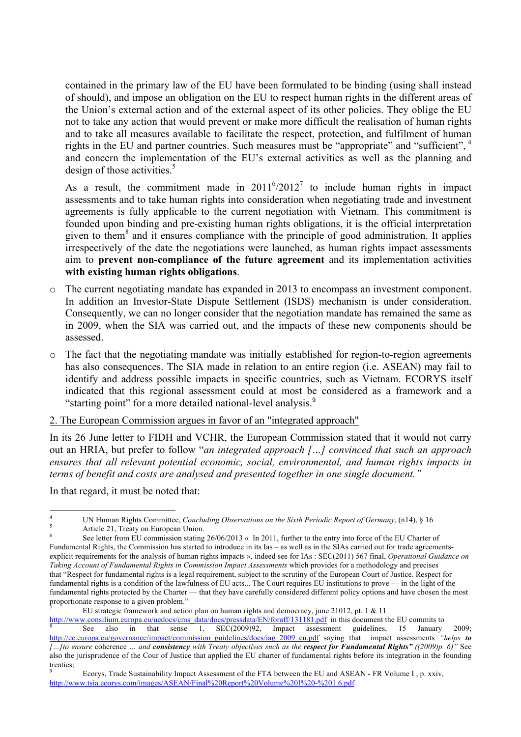contained in the primary law of the EU have been formulated to be binding (using shall instead of should), and impose an obligation on the EU to respect human rights in the different areas of the Union's external action and of the external aspect of its other policies. They oblige the EU not to take any action that would prevent or make more difficult the realisation of human rights and to take all measures available to facilitate the respect, protection, and fulfilment of human rights in the EU and partner countries. Such measures must be "appropriate" and "sufficient", <sup>4</sup> and concern the implementation of the EU's external activities as well as the planning and design of those activities. $\frac{5}{3}$ 

As a result, the commitment made in  $2011^6/2012^7$  to include human rights in impact assessments and to take human rights into consideration when negotiating trade and investment agreements is fully applicable to the current negotiation with Vietnam. This commitment is founded upon binding and pre-existing human rights obligations, it is the official interpretation given to them $<sup>8</sup>$  and it ensures compliance with the principle of good administration. It applies</sup> irrespectively of the date the negotiations were launched, as human rights impact assessments aim to **prevent non-compliance of the future agreement** and its implementation activities **with existing human rights obligations**.

- o The current negotiating mandate has expanded in 2013 to encompass an investment component. In addition an Investor-State Dispute Settlement (ISDS) mechanism is under consideration. Consequently, we can no longer consider that the negotiation mandate has remained the same as in 2009, when the SIA was carried out, and the impacts of these new components should be assessed.
- o The fact that the negotiating mandate was initially established for region-to-region agreements has also consequences. The SIA made in relation to an entire region (i.e. ASEAN) may fail to identify and address possible impacts in specific countries, such as Vietnam. ECORYS itself indicated that this regional assessment could at most be considered as a framework and a "starting point" for a more detailed national-level analysis.<sup>9</sup>
- 2. The European Commission argues in favor of an "integrated approach"

In its 26 June letter to FIDH and VCHR, the European Commission stated that it would not carry out an HRIA, but prefer to follow "*an integrated approach […] convinced that such an approach ensures that all relevant potential economic, social, environmental, and human rights impacts in terms of benefit and costs are analysed and presented together in one single document."*

In that regard, it must be noted that:

<sup>&</sup>lt;sup>4</sup> UN Human Rights Committee, *Concluding Observations on the Sixth Periodic Report of Germany*, (n14), § 16<br><sup>5</sup> Article 21, Treaty on European Union.<br><sup>6</sup> See letter from EU commission stating 26/06/2013 « In 2011, furth

Fundamental Rights, the Commission has started to introduce in its Ias – as well as in the SIAs carried out for trade agreementsexplicit requirements for the analysis of human rights impacts », indeed see for IAs : SEC(2011) 567 final, *Operational Guidance on Taking Account of Fundamental Rights in Commission Impact Assessments* which provides for a methodology and precises that "Respect for fundamental rights is a legal requirement, subject to the scrutiny of the European Court of Justice. Respect for fundamental rights is a condition of the lawfulness of EU acts... The Court requires EU institutions to prove — in the light of the fundamental rights protected by the Charter — that they have carefully considered different policy options and have chosen the most proportionate response to a given problem."

<sup>7</sup> EU strategic framework and action plan on human rights and democracy, june 21012, pt. 1 & 11

 $\frac{http://www.consilium.europa.eu/uedocs/cms_data/docs/pressdata/EN/foraff/131181.pdf}{\text{Set}}$  in this document the EU commits to <br>  $\frac{15}{\text{Set}}$  also in that sense 1. SEC(2009)92, Impact assessment guidelines, 15 January 2009; http://ec.europa.eu/governance/impact/commission\_guidelines/docs/iag\_2009\_en.pdf saying that impact assessments *"helps to […]to ensure* coherence *… and consistency with Treaty objectives such as the respect for Fundamental Rights" ((2009)p. 6)"* See also the jurisprudence of the Cour of Justice that applied the EU charter of fundamental rights before its integration in the founding treaties;

<sup>9</sup> Ecorys, Trade Sustainability Impact Assessment of the FTA between the EU and ASEAN - FR Volume I , p. xxiv, http://www.tsia.ecorys.com/images/ASEAN/Final%20Report%20Volume%20I%20-%201.6.pdf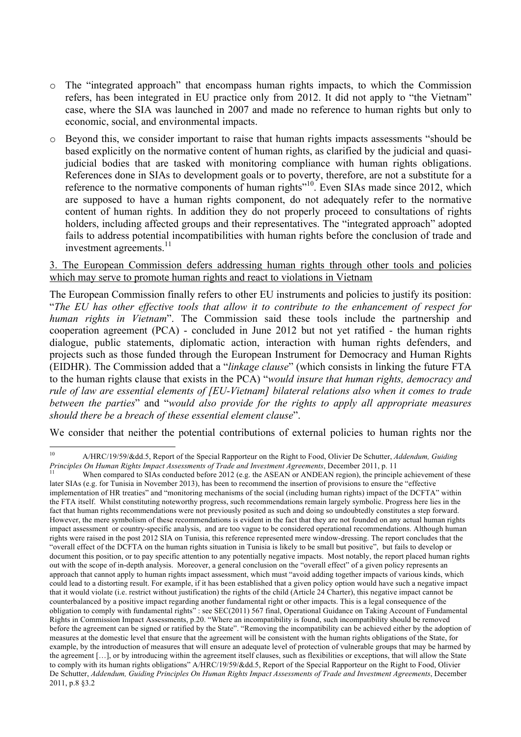- o The "integrated approach" that encompass human rights impacts, to which the Commission refers, has been integrated in EU practice only from 2012. It did not apply to "the Vietnam" case, where the SIA was launched in 2007 and made no reference to human rights but only to economic, social, and environmental impacts.
- o Beyond this, we consider important to raise that human rights impacts assessments "should be based explicitly on the normative content of human rights, as clarified by the judicial and quasijudicial bodies that are tasked with monitoring compliance with human rights obligations. References done in SIAs to development goals or to poverty, therefore, are not a substitute for a reference to the normative components of human rights<sup>"10</sup>. Even SIAs made since 2012, which are supposed to have a human rights component, do not adequately refer to the normative content of human rights. In addition they do not properly proceed to consultations of rights holders, including affected groups and their representatives. The "integrated approach" adopted fails to address potential incompatibilities with human rights before the conclusion of trade and investment agreements.<sup>11</sup>

#### 3. The European Commission defers addressing human rights through other tools and policies which may serve to promote human rights and react to violations in Vietnam

The European Commission finally refers to other EU instruments and policies to justify its position: "*The EU has other effective tools that allow it to contribute to the enhancement of respect for human rights in Vietnam*". The Commission said these tools include the partnership and cooperation agreement (PCA) - concluded in June 2012 but not yet ratified - the human rights dialogue, public statements, diplomatic action, interaction with human rights defenders, and projects such as those funded through the European Instrument for Democracy and Human Rights (EIDHR). The Commission added that a "*linkage clause*" (which consists in linking the future FTA to the human rights clause that exists in the PCA) "*would insure that human rights, democracy and rule of law are essential elements of [EU-Vietnam] bilateral relations also when it comes to trade between the parties*" and "*would also provide for the rights to apply all appropriate measures should there be a breach of these essential element clause*".

We consider that neither the potential contributions of external policies to human rights nor the

 <sup>10</sup> A/HRC/19/59/&dd.5, Report of the Special Rapporteur on the Right to Food, Olivier De Schutter, *Addendum, Guiding* 

When compared to SIAs conducted before 2012 (e.g. the ASEAN or ANDEAN region), the principle achievement of these later SIAs (e.g. for Tunisia in November 2013), has been to recommend the insertion of provisions to ensure the "effective implementation of HR treaties" and "monitoring mechanisms of the social (including human rights) impact of the DCFTA" within the FTA itself. Whilst constituting noteworthy progress, such recommendations remain largely symbolic. Progress here lies in the fact that human rights recommendations were not previously posited as such and doing so undoubtedly constitutes a step forward. However, the mere symbolism of these recommendations is evident in the fact that they are not founded on any actual human rights impact assessment or country-specific analysis, and are too vague to be considered operational recommendations. Although human rights were raised in the post 2012 SIA on Tunisia, this reference represented mere window-dressing. The report concludes that the "overall effect of the DCFTA on the human rights situation in Tunisia is likely to be small but positive", but fails to develop or document this position, or to pay specific attention to any potentially negative impacts. Most notably, the report placed human rights out with the scope of in-depth analysis. Moreover, a general conclusion on the "overall effect" of a given policy represents an approach that cannot apply to human rights impact assessment, which must "avoid adding together impacts of various kinds, which could lead to a distorting result. For example, if it has been established that a given policy option would have such a negative impact that it would violate (i.e. restrict without justification) the rights of the child (Article 24 Charter), this negative impact cannot be counterbalanced by a positive impact regarding another fundamental right or other impacts. This is a legal consequence of the obligation to comply with fundamental rights" : see SEC(2011) 567 final, Operational Guidance on Taking Account of Fundamental Rights in Commission Impact Assessments, p.20. "Where an incompatibility is found, such incompatibility should be removed before the agreement can be signed or ratified by the State". "Removing the incompatibility can be achieved either by the adoption of measures at the domestic level that ensure that the agreement will be consistent with the human rights obligations of the State, for example, by the introduction of measures that will ensure an adequate level of protection of vulnerable groups that may be harmed by the agreement […], or by introducing within the agreement itself clauses, such as flexibilities or exceptions, that will allow the State to comply with its human rights obligations" A/HRC/19/59/&dd.5, Report of the Special Rapporteur on the Right to Food, Olivier De Schutter, *Addendum, Guiding Principles On Human Rights Impact Assessments of Trade and Investment Agreements*, December 2011, p.8 §3.2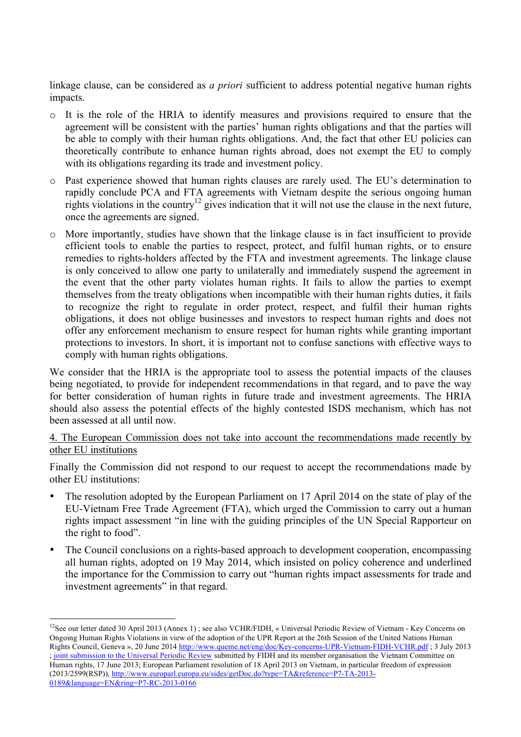linkage clause, can be considered as *a priori* sufficient to address potential negative human rights impacts.

- o It is the role of the HRIA to identify measures and provisions required to ensure that the agreement will be consistent with the parties' human rights obligations and that the parties will be able to comply with their human rights obligations. And, the fact that other EU policies can theoretically contribute to enhance human rights abroad, does not exempt the EU to comply with its obligations regarding its trade and investment policy.
- o Past experience showed that human rights clauses are rarely used. The EU's determination to rapidly conclude PCA and FTA agreements with Vietnam despite the serious ongoing human rights violations in the country<sup>12</sup> gives indication that it will not use the clause in the next future, once the agreements are signed.
- o More importantly, studies have shown that the linkage clause is in fact insufficient to provide efficient tools to enable the parties to respect, protect, and fulfil human rights, or to ensure remedies to rights-holders affected by the FTA and investment agreements. The linkage clause is only conceived to allow one party to unilaterally and immediately suspend the agreement in the event that the other party violates human rights. It fails to allow the parties to exempt themselves from the treaty obligations when incompatible with their human rights duties, it fails to recognize the right to regulate in order protect, respect, and fulfil their human rights obligations, it does not oblige businesses and investors to respect human rights and does not offer any enforcement mechanism to ensure respect for human rights while granting important protections to investors. In short, it is important not to confuse sanctions with effective ways to comply with human rights obligations.

We consider that the HRIA is the appropriate tool to assess the potential impacts of the clauses being negotiated, to provide for independent recommendations in that regard, and to pave the way for better consideration of human rights in future trade and investment agreements. The HRIA should also assess the potential effects of the highly contested ISDS mechanism, which has not been assessed at all until now.

# 4. The European Commission does not take into account the recommendations made recently by other EU institutions

Finally the Commission did not respond to our request to accept the recommendations made by other EU institutions:

- The resolution adopted by the European Parliament on 17 April 2014 on the state of play of the EU-Vietnam Free Trade Agreement (FTA), which urged the Commission to carry out a human rights impact assessment "in line with the guiding principles of the UN Special Rapporteur on the right to food".
- The Council conclusions on a rights-based approach to development cooperation, encompassing all human rights, adopted on 19 May 2014, which insisted on policy coherence and underlined the importance for the Commission to carry out "human rights impact assessments for trade and investment agreements" in that regard.

<sup>&</sup>lt;sup>12</sup>See our letter dated 30 April 2013 (Annex 1); see also VCHR/FIDH, « Universal Periodic Review of Vietnam - Key Concerns on Ongoing Human Rights Violations in view of the adoption of the UPR Report at the 26th Session of the United Nations Human Rights Council, Geneva », 20 June 2014 http://www.queme.net/eng/doc/Key-concerns-UPR-Vietnam-FIDH-VCHR.pdf ; 3 July 2013 ; joint submission to the Universal Periodic Review submitted by FIDH and its member organisation the Vietnam Committee on Human rights, 17 June 2013; European Parliament resolution of 18 April 2013 on Vietnam, in particular freedom of expression (2013/2599(RSP)), http://www.europarl.europa.eu/sides/getDoc.do?type=TA&reference=P7-TA-2013- 0189&language=EN&ring=P7-RC-2013-0166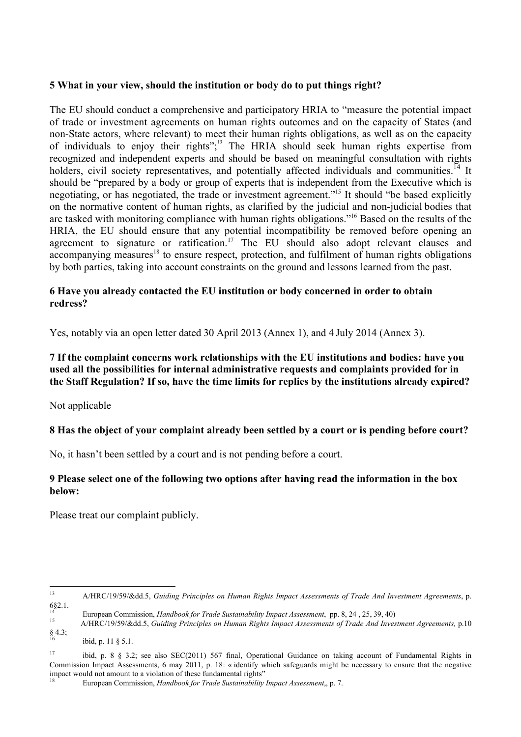## **5 What in your view, should the institution or body do to put things right?**

The EU should conduct a comprehensive and participatory HRIA to "measure the potential impact of trade or investment agreements on human rights outcomes and on the capacity of States (and non-State actors, where relevant) to meet their human rights obligations, as well as on the capacity of individuals to enjoy their rights";<sup>13</sup> The HRIA should seek human rights expertise from recognized and independent experts and should be based on meaningful consultation with rights holders, civil society representatives, and potentially affected individuals and communities.<sup>14</sup> It should be "prepared by a body or group of experts that is independent from the Executive which is negotiating, or has negotiated, the trade or investment agreement."15 It should "be based explicitly on the normative content of human rights, as clarified by the judicial and non-judicial bodies that are tasked with monitoring compliance with human rights obligations."16 Based on the results of the HRIA, the EU should ensure that any potential incompatibility be removed before opening an agreement to signature or ratification.<sup>17</sup> The EU should also adopt relevant clauses and  $\alpha$  accompanying measures<sup>18</sup> to ensure respect, protection, and fulfilment of human rights obligations by both parties, taking into account constraints on the ground and lessons learned from the past.

# **6 Have you already contacted the EU institution or body concerned in order to obtain redress?**

Yes, notably via an open letter dated 30 April 2013 (Annex 1), and 4 July 2014 (Annex 3).

## **7 If the complaint concerns work relationships with the EU institutions and bodies: have you used all the possibilities for internal administrative requests and complaints provided for in the Staff Regulation? If so, have the time limits for replies by the institutions already expired?**

Not applicable

# **8 Has the object of your complaint already been settled by a court or is pending before court?**

No, it hasn't been settled by a court and is not pending before a court.

# **9 Please select one of the following two options after having read the information in the box below:**

Please treat our complaint publicly.

 <sup>13</sup> A/HRC/19/59/&dd.5, *Guiding Principles on Human Rights Impact Assessments of Trade And Investment Agreements*, p. 6§2.1.

<sup>&</sup>lt;sup>14</sup><br>European Commission, *Handbook for Trade Sustainability Impact Assessment*, pp. 8, 24, 25, 39, 40)<br>A/HRC/19/59/&dd.5, *Guiding Principles on Human Rights Impact Assessments of Trade And Investment Agreements, p.10*  $§4.3;$ 

ibid, p. 11 § 5.1.

<sup>&</sup>lt;sup>17</sup> ibid, p. 8 § 3.2; see also SEC(2011) 567 final, Operational Guidance on taking account of Fundamental Rights in Commission Impact Assessments, 6 may 2011, p. 18: « identify which safeguards might be necessary to ensure that the negative impact would not amount to a violation of these fundamental rights"

<sup>18</sup> European Commission, *Handbook for Trade Sustainability Impact Assessment*,, p. 7.